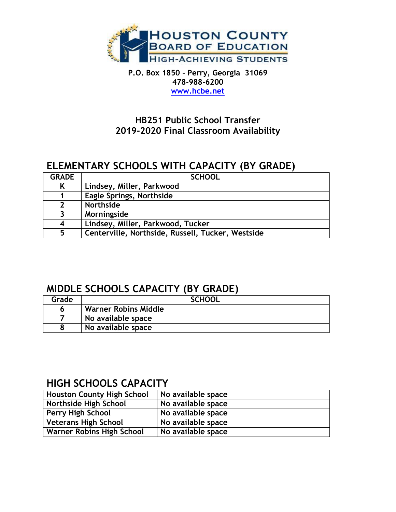

**P.O. Box 1850 - Perry, Georgia 31069 478-988-6200 [www.hcbe.net](http://www.hcbe.net/)**

#### **HB251 Public School Transfer 2019-2020 Final Classroom Availability**

## **ELEMENTARY SCHOOLS WITH CAPACITY (BY GRADE)**

| <b>GRADE</b>            | <b>SCHOOL</b>                                     |  |
|-------------------------|---------------------------------------------------|--|
| K                       | Lindsey, Miller, Parkwood                         |  |
|                         | <b>Eagle Springs, Northside</b>                   |  |
| $\overline{\mathbf{z}}$ | Northside                                         |  |
| 3                       | Morningside                                       |  |
| $\overline{4}$          | Lindsey, Miller, Parkwood, Tucker                 |  |
| 5                       | Centerville, Northside, Russell, Tucker, Westside |  |

### **MIDDLE SCHOOLS CAPACITY (BY GRADE)**

| Grade | <b>SCHOOL</b>               |
|-------|-----------------------------|
|       | <b>Warner Robins Middle</b> |
|       | No available space          |
|       | No available space          |

### **HIGH SCHOOLS CAPACITY**

| <b>Houston County High School</b> | No available space |  |  |
|-----------------------------------|--------------------|--|--|
| Northside High School             | No available space |  |  |
| Perry High School                 | No available space |  |  |
| Veterans High School              | No available space |  |  |
| Warner Robins High School         | No available space |  |  |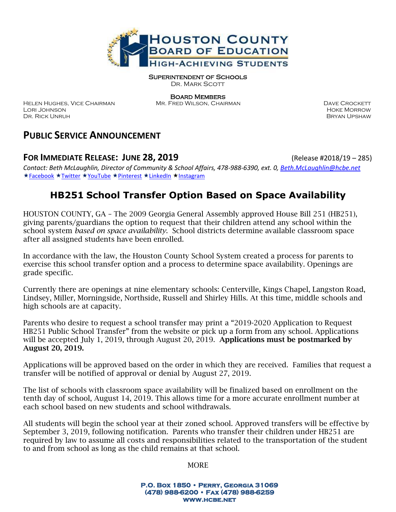

Superintendent of Schools

DR. MARK SCOTT

HELEN HUGHES, VICE CHAIRMAN MR. FRED WILSON, CHAIRMAN DAVE CROCKETT Lori Johnson Hoke Morrow Dr. Rick Unruh Dr. Rick Unruh Bryan Upshaw

Board Members

## **PUBLIC SERVICE ANNOUNCEMENT**

#### **FOR IMMEDIATE RELEASE: JUNE 28, 2019** (Release #2018/19 – 285)

*Contact: Beth McLaughlin, Director of Community & School Affairs, 478-988-6390, ext. 0[, Beth.McLaughlin@hcbe.net](mailto:Beth.McLaughlin@hcbe.net)* ★[Facebook](http://www.facebook.com/HoustonCountySS) ★[Twitter](http://www.twitter.com/HoustonCountySS) ★[YouTube](http://www.youtube.com/playlist?list=PL6lPoWo6vdnm1fJX41WxTVWbp1uHUxP1a) ★[Pinterest](https://www.pinterest.com/houstoncountyss/) ★[LinkedIn](https://www.linkedin.com/company/houston-county-board-of-education) ★[Instagram](http://www.instagram.com/HoustonCountySS)

# **HB251 School Transfer Option Based on Space Availability**

HOUSTON COUNTY, GA – The 2009 Georgia General Assembly approved House Bill 251 (HB251), giving parents/guardians the option to request that their children attend any school within the school system *based on space availability*. School districts determine available classroom space after all assigned students have been enrolled.

In accordance with the law, the Houston County School System created a process for parents to exercise this school transfer option and a process to determine space availability. Openings are grade specific.

Currently there are openings at nine elementary schools: Centerville, Kings Chapel, Langston Road, Lindsey, Miller, Morningside, Northside, Russell and Shirley Hills. At this time, middle schools and high schools are at capacity.

Parents who desire to request a school transfer may print a "2019-2020 Application to Request HB251 Public School Transfer" from the website or pick up a form from any school. Applications will be accepted July 1, 2019, through August 20, 2019. **Applications must be postmarked by** August 20, 2019.

Applications will be approved based on the order in which they are received. Families that request a transfer will be notified of approval or denial by August 27, 2019.

The list of schools with classroom space availability will be finalized based on enrollment on the tenth day of school, August 14, 2019. This allows time for a more accurate enrollment number at each school based on new students and school withdrawals.

All students will begin the school year at their zoned school. Approved transfers will be effective by September 3, 2019, following notification. Parents who transfer their children under HB251 are required by law to assume all costs and responsibilities related to the transportation of the student to and from school as long as the child remains at that school.

MORE

**P.O. Box 1850 • Perry, Georgia 31069 (478) 988-6200 • Fax (478) 988-6259 www.hcbe.net**